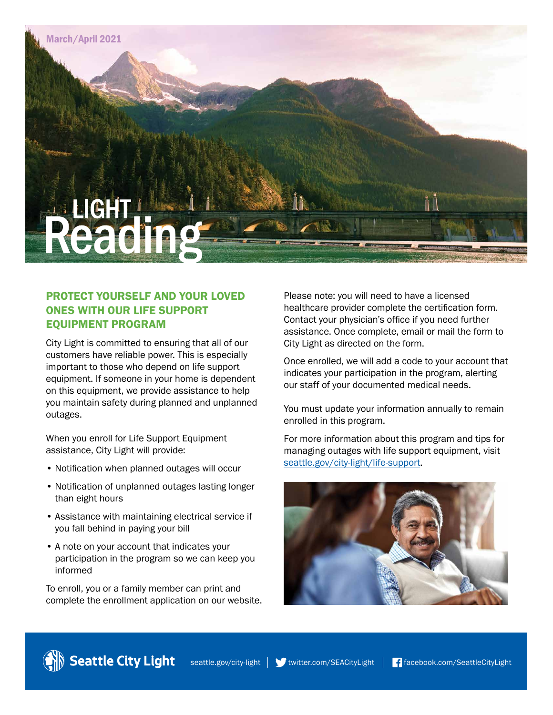

### PROTECT YOURSELF AND YOUR LOVED ONES WITH OUR LIFE SUPPORT EQUIPMENT PROGRAM

City Light is committed to ensuring that all of our customers have reliable power. This is especially important to those who depend on life support equipment. If someone in your home is dependent on this equipment, we provide assistance to help you maintain safety during planned and unplanned outages.

When you enroll for Life Support Equipment assistance, City Light will provide:

- Notification when planned outages will occur
- Notification of unplanned outages lasting longer than eight hours
- Assistance with maintaining electrical service if you fall behind in paying your bill
- A note on your account that indicates your participation in the program so we can keep you informed

To enroll, you or a family member can print and complete the enrollment application on our website. Please note: you will need to have a licensed healthcare provider complete the certification form. Contact your physician's office if you need further assistance. Once complete, email or mail the form to City Light as directed on the form.

Once enrolled, we will add a code to your account that indicates your participation in the program, alerting our staff of your documented medical needs.

You must update your information annually to remain enrolled in this program.

For more information about this program and tips for managing outages with life support equipment, visit [seattle.gov/city-light/life-support](http://www.seattle.gov/city-light/life-support).